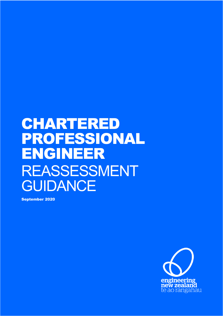# CHARTERED PROFESSIONAL ENGINEER REASSESSMENT GUIDANCE

September 2020

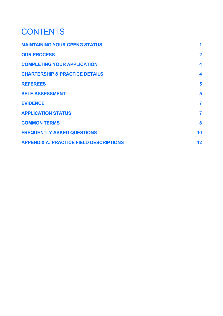# **CONTENTS**

| 1                       |
|-------------------------|
| $\overline{2}$          |
| $\overline{\mathbf{4}}$ |
| 4                       |
| 5                       |
| 5                       |
| $\overline{7}$          |
| $\overline{7}$          |
| 8                       |
| 10                      |
| 12                      |
|                         |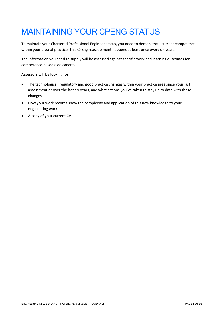# MAINTAINING YOUR CPENG STATUS

To maintain your Chartered Professional Engineer status, you need to demonstrate current competence within your area of practice. This CPEng reassessment happens at least once every six years.

The information you need to supply will be assessed against specific work and learning outcomes for competence-based assessments.

Assessors will be looking for:

- The technological, regulatory and good practice changes within your practice area since your last assessment or over the last six years, and what actions you've taken to stay up to date with these changes.
- How your work records show the complexity and application of this new knowledge to your engineering work.
- A copy of your current CV.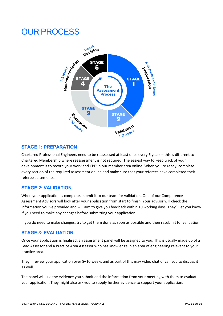# OUR PROCESS



# **STAGE 1: PREPARATION**

Chartered Professional Engineers need to be reassessed at least once every 6 years – this is different to Chartered Membership where reassessment is not required. The easiest way to keep track of your development is to record your work and CPD in our member area online. When you're ready, complete every section of the required assessment online and make sure that your referees have completed their referee statements.

# **STAGE 2: VALIDATION**

When your application is complete, submit it to our team for validation. One of our Competence Assessment Advisors will look after your application from start to finish. Your advisor will check the information you've provided and will aim to give you feedback within 10 working days. They'll let you know if you need to make any changes before submitting your application.

If you do need to make changes, try to get them done as soon as possible and then resubmit for validation.

# **STAGE 3: EVALUATION**

Once your application is finalised, an assessment panel will be assigned to you. This is usually made up of a Lead Assessor and a Practice Area Assessor who has knowledge in an area of engineering relevant to your practice area.

They'll review your application over 8–10 weeks and as part of this may video chat or call you to discuss it as well.

The panel will use the evidence you submit and the information from your meeting with them to evaluate your application. They might also ask you to supply further evidence to support your application.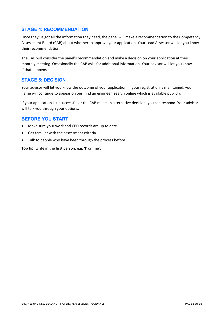# **STAGE 4: RECOMMENDATION**

Once they've got all the information they need, the panel will make a recommendation to the Competency Assessment Board (CAB) about whether to approve your application. Your Lead Assessor will let you know their recommendation.

The CAB will consider the panel's recommendation and make a decision on your application at their monthly meeting. Occasionally the CAB asks for additional information. Your advisor will let you know if that happens.

#### **STAGE 5: DECISION**

Your advisor will let you know the outcome of your application. If your registration is maintained, your name will continue to appear on our 'find an engineer' search online which is available publicly.

If your application is unsuccessful or the CAB made an alternative decision, you can respond. Your advisor will talk you through your options.

# **BEFORE YOU START**

- Make sure your work and CPD records are up to date.
- Get familiar with the assessment criteria.
- Talk to people who have been through the process before.

**Top tip:** write in the first person, e.g. 'I' or 'me'.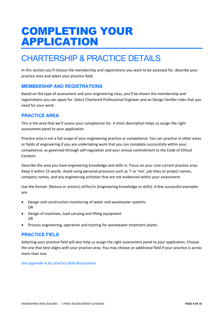# COMPLETING YOUR APPLICATION

# CHARTERSHIP & PRACTICE DETAILS

In this section you'll choose the membership and registrations you want to be assessed for, describe your practice area and select your practice field.

# **MEMBERSHIP AND REGISTRATIONS**

Based on the type of assessment and your engineering class, you'll be shown the membership and registrations you can apply for. Select Chartered Professional Engineer and an Design Verifier roles that you need for your work.

# **PRACTICE AREA**

This is the area that we'll assess your competence for. A short description helps us assign the right assessment panel to your application.

Practice area is not a full scope of your engineering practice or competence. You can practice in other areas or fields of engineering if you are undertaking work that you can complete successfully within your competence, as governed through self-regulation and your annual commitment to the Code of Ethical Conduct.

Describe the area you have engineering knowledge and skills in. Focus on your core current practice area. Keep it within 15 words. Avoid using personal pronouns such as 'I' or 'me', job titles or project names, company names, and any engineering activities that are not evidenced within your assessment.

Use the format: [Nature or actions] of/for/in [engineering knowledge or skills]. A few successful examples are:

- Design and construction monitoring of water and wastewater systems. OR
- Design of machines, load carrying and lifting equipment. OR
- Process engineering, operation and training for wastewater treatment plants.

# **PRACTICE FIELD**

Selecting your practice field will also help us assign the right assessment panel to your application. Choose the one that best aligns with your practice area. You may choose an additional field if your practice is across more than one.

*See appendix A for practice field descriptions*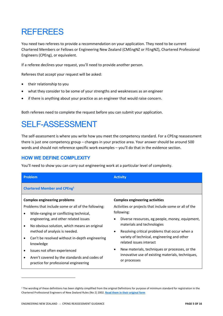# REFEREES

You need two referees to provide a recommendation on your application. They need to be current Chartered Members or Fellows or Engineering New Zealand (CMEngNZ or FEngNZ), Chartered Professional Engineers (CPEng), or equivalent.

If a referee declines your request, you'll need to provide another person.

Referees that accept your request will be asked:

- their relationship to you
- what they consider to be some of your strengths and weaknesses as an engineer
- if there is anything about your practice as an engineer that would raise concern.

Both referees need to complete the request before you can submit your application.

# SELF-ASSESSMENT

The self-assessment is where you write how you meet the competency standard. For a CPEng reassessment there is just one competency group – changes in your practice area. Your answer should be around 500 words and should not reference specific work examples – you'll do that in the evidence section.

# **HOW WE DEFINE COMPLEXITY**

You'll need to show you can carry out engineering work at a particular level of complexity.

| <b>Problem</b>                      |                                                                                                                                                                                        | <b>Activity</b>                                                      |                                                                               |  |
|-------------------------------------|----------------------------------------------------------------------------------------------------------------------------------------------------------------------------------------|----------------------------------------------------------------------|-------------------------------------------------------------------------------|--|
| <b>Chartered Member and CPEng1</b>  |                                                                                                                                                                                        |                                                                      |                                                                               |  |
| <b>Complex engineering problems</b> |                                                                                                                                                                                        | <b>Complex engineering activities</b>                                |                                                                               |  |
| ٠                                   | Problems that include some or all of the following:<br>Wide-ranging or conflicting technical,<br>engineering, and other related issues<br>No obvious solution, which means an original | Activities or projects that include some or all of the<br>following: |                                                                               |  |
| ٠                                   |                                                                                                                                                                                        | ٠                                                                    | Diverse resources, eg people, money, equipment,<br>materials and technologies |  |
|                                     | method of analysis is needed.                                                                                                                                                          | $\bullet$                                                            | Resolving critical problems that occur when a                                 |  |
|                                     | Can't be resolved without in-depth engineering<br>knowledge                                                                                                                            |                                                                      | variety of technical, engineering and other<br>related issues interact        |  |
|                                     | Issues not often experienced                                                                                                                                                           | ٠                                                                    | New materials, techniques or processes, or the                                |  |
|                                     | Aren't covered by the standards and codes of<br>practice for professional engineering                                                                                                  | innovative use of existing materials, techniques,<br>or processes    |                                                                               |  |

 $1$  The wording of these definitions has been slightly simplified from the original Definitions for purpose of minimum standard for registration in the Chartered Professional Engineers of New Zealand Rules (No 2) 2002. **Read them in their original form**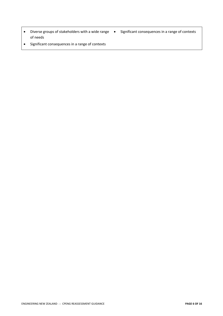- Diverse groups of stakeholders with a wide range Significant consequences in a range of contexts of needs
	-
- Significant consequences in a range of contexts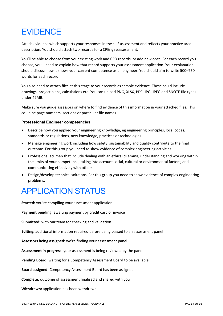# **EVIDENCE**

Attach evidence which supports your responses in the self-assessment and reflects your practice area description. You should attach two records for a CPEng reassessment.

You'll be able to choose from your existing work and CPD records, or add new ones. For each record you choose, you'll need to explain how that record supports your assessment application. Your explanation should discuss how it shows your current competence as an engineer. You should aim to write 500–750 words for each record.

You also need to attach files at this stage to your records as sample evidence. These could include drawings, project plans, calculations etc. You can upload PNG, XLSX, PDF, JPG, JPEG and SNOTE file types under 42MB.

Make sure you guide assessors on where to find evidence of this information in your attached files. This could be page numbers, sections or particular file names.

#### **Professional Engineer competencies**

- Describe how you applied your engineering knowledge, eg engineering principles, local codes, standards or regulations, new knowledge, practices or technologies.
- Manage engineering work including how safety, sustainability and quality contribute to the final outcome. For this group you need to show evidence of complex engineering activities.
- Professional acumen that include dealing with an ethical dilemma; understanding and working within the limits of your competence; taking into account social, cultural or environmental factors; and communicating effectively with others.
- Design/develop technical solutions. For this group you need to show evidence of complex engineering problems.

# APPLICATION STATUS

**Started:** you're compiling your assessment application

**Payment pending:** awaiting payment by credit card or invoice

**Submitted:** with our team for checking and validation

**Editing:** additional information required before being passed to an assessment panel

**Assessors being assigned:** we're finding your assessment panel

**Assessment in progress:** your assessment is being reviewed by the panel

**Pending Board:** waiting for a Competency Assessment Board to be available

**Board assigned:** Competency Assessment Board has been assigned

**Complete:** outcome of assessment finalised and shared with you

**Withdrawn:** application has been withdrawn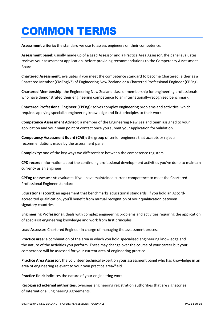# COMMON TERMS

**Assessment criteria:** the standard we use to assess engineers on their competence.

**Assessment panel:** usually made up of a Lead Assessor and a Practice Area Assessor, the panel evaluates reviews your assessment application, before providing recommendations to the Competency Assessment Board.

**Chartered Assessment:** evaluates if you meet the competence standard to become Chartered, either as a Chartered Member (CMEngNZ) of Engineering New Zealand or a Chartered Professional Engineer (CPEng).

**Chartered Membership:** the Engineering New Zealand class of membership for engineering professionals who have demonstrated their engineering competence to an internationally-recognised benchmark.

**Chartered Professional Engineer (CPEng):** solves complex engineering problems and activities, which requires applying specialist engineering knowledge and first principles to their work.

**Competence Assessment Advisor:** a member of the Engineering New Zealand team assigned to your application and your main point of contact once you submit your application for validation.

**Competency Assessment Board (CAB):** the group of senior engineers that accepts or rejects recommendations made by the assessment panel.

**Complexity:** one of the key ways we differentiate between the competence registers.

**CPD record:** information about the continuing professional development activities you've done to maintain currency as an engineer.

**CPEng reassessment:** evaluates if you have maintained current competence to meet the Chartered Professional Engineer standard.

**Educational accord:** an agreement that benchmarks educational standards. If you hold an Accordaccredited qualification, you'll benefit from mutual recognition of your qualification between signatory countries.

**Engineering Professional:** deals with complex engineering problems and activities requiring the application of specialist engineering knowledge and work from first principles.

**Lead Assessor:** Chartered Engineer in charge of managing the assessment process.

**Practice area:** a combination of the area in which you hold specialised engineering knowledge and the nature of the activities you perform. These may change over the course of your career but your competence will be assessed for your current area of engineering practice.

**Practice Area Assessor:** the volunteer technical expert on your assessment panel who has knowledge in an area of engineering relevant to your own practice area/field.

**Practice field:** indicates the nature of your engineering work.

**Recognised external authorities:** overseas engineering registration authorities that are signatories of International Engineering Agreements.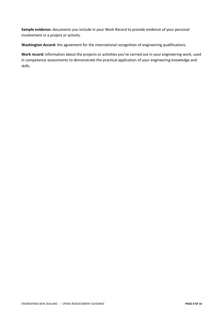**Sample evidence:** documents you include in your Work Record to provide evidence of your personal involvement in a project or activity.

**Washington Accord:** the agreement for the international recognition of engineering qualifications.

**Work record:** information about the projects or activities you've carried out in your engineering work, used in competence assessments to demonstrate the practical application of your engineering knowledge and skills.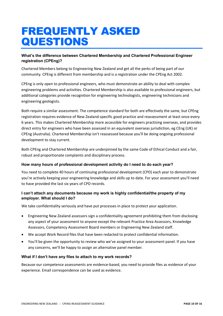# FREQUENTLY ASKED QUESTIONS

#### **What's the difference between Chartered Membership and Chartered Professional Engineer registration (CPEng)?**

Chartered Members belong to Engineering New Zealand and get all the perks of being part of our community. CPEng is different from membership and is a registration under the CPEng Act 2002.

CPEng is only open to professional engineers, who must demonstrate an ability to deal with complex engineering problems and activities. Chartered Membership is also available to professional engineers, but additional categories provide recognition for engineering technologists, engineering technicians and engineering geologists.

Both require a similar assessment. The competence standard for both are effectively the same, but CPEng registration requires evidence of New Zealand-specific good practice and reassessment at least once every 6 years. This makes Chartered Membership more accessible for engineers practising overseas, and provides direct entry for engineers who have been assessed in an equivalent overseas jurisdiction, eg CEng (UK) or CPEng (Australia). Chartered Membership isn't reassessed because you'll be doing ongoing professional development to stay current.

Both CPEng and Chartered Membership are underpinned by the same Code of Ethical Conduct and a fair, robust and proportionate complaints and disciplinary process.

#### **How many hours of professional development activity do I need to do each year?**

You need to complete 40 hours of continuing professional development (CPD) each year to demonstrate you're actively keeping your engineering knowledge and skills up to date. For your assessment you'll need to have provided the last six years of CPD records.

#### **I can't attach any documents because my work is highly confidential/the property of my employer. What should I do?**

We take confidentiality seriously and have put processes in place to protect your application.

- Engineering New Zealand assessors sign a confidentiality agreement prohibiting them from disclosing any aspect of your assessment to anyone except the relevant Practice Area Assessors, Knowledge Assessors, Competency Assessment Board members or Engineering New Zealand staff.
- We accept Work Record files that have been redacted to protect confidential information.
- You'll be given the opportunity to review who we've assigned to your assessment panel. If you have any concerns, we'll be happy to assign an alternative panel member.

#### **What if I don't have any files to attach to my work records?**

Because our competence assessments are evidence-based, you need to provide files as evidence of your experience. Email correspondence can be used as evidence.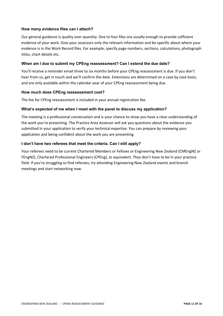#### **How many evidence files can I attach?**

Our general guidance is quality over quantity. One to four files are usually enough to provide sufficient evidence of your work. Give your assessors only the relevant information and be specific about where your evidence is in the Work Record files. For example, specify page numbers, sections, calculations, photograph titles, chart details etc.

#### **When am I due to submit my CPEng reassessment? Can I extend the due date?**

You'll receive a reminder email three to six months before your CPEng reassessment is due. If you don't hear from us, get in touch and we'll confirm the date. Extensions are determined on a case by case basis, and are only available within the calendar year of your CPEng reassessment being due.

#### **How much does CPEng reassessment cost?**

The fee for CPEng reassessment is included in your annual registration fee.

#### **What's expected of me when I meet with the panel to discuss my application?**

The meeting is a professional conversation and is your chance to show you have a clear understanding of the work you're presenting. The Practice Area Assessor will ask you questions about the evidence you submitted in your application to verify your technical expertise. You can prepare by reviewing your application and being confident about the work you are presenting.

#### **I don't have two referees that meet the criteria. Can I still apply?**

Your referees need to be current Chartered Members or Fellows or Engineering New Zealand (CMEngNZ or FEngNZ), Chartered Professional Engineers (CPEng), or equivalent. They don't have to be in your practice field. If you're struggling to find referees, try attending Engineering New Zealand events and branch meetings and start networking now.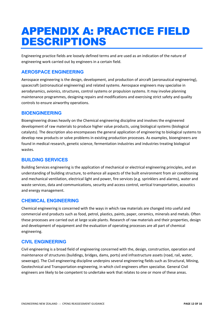# APPENDIX A: PRACTICE FIELD DESCRIPTIONS

Engineering practice fields are loosely defined terms and are used as an indication of the nature of engineering work carried out by engineers in a certain field.

# **AEROSPACE ENGINEERING**

Aerospace engineering is the design, development, and production of aircraft (aeronautical engineering), spacecraft (astronautical engineering) and related systems. Aerospace engineers may specialise in aerodynamics, avionics, structures, control systems or propulsion systems. It may involve planning maintenance programmes, designing repairs and modifications and exercising strict safety and quality controls to ensure airworthy operations.

# **BIOENGINEERING**

Bioengineering draws heavily on the Chemical engineering discipline and involves the engineered development of raw materials to produce higher value products, using biological systems (biological catalysts). The description also encompasses the general application of engineering to biological systems to develop new products or solve problems in existing production processes. As examples, bioengineers are found in medical research, genetic science, fermentation industries and industries treating biological wastes.

# **BUILDING SERVICES**

Building Services engineering is the application of mechanical or electrical engineering principles, and an understanding of building structure, to enhance all aspects of the built environment from air conditioning and mechanical ventilation, electrical light and power, fire services (e.g. sprinklers and alarms), water and waste services, data and communications, security and access control, vertical transportation, acoustics and energy management.

# **CHEMICAL ENGINEERING**

Chemical engineering is concerned with the ways in which raw materials are changed into useful and commercial end products such as food, petrol, plastics, paints, paper, ceramics, minerals and metals. Often these processes are carried out at large scale plants. Research of raw materials and their properties, design and development of equipment and the evaluation of operating processes are all part of chemical engineering.

# **CIVIL ENGINEERING**

Civil engineering is a broad field of engineering concerned with the, design, construction, operation and maintenance of structures (buildings, bridges, dams, ports) and infrastructure assets (road, rail, water, sewerage). The Civil engineering discipline underpins several engineering fields such as Structural, Mining, Geotechnical and Transportation engineering, in which civil engineers often specialise. General Civil engineers are likely to be competent to undertake work that relates to one or more of these areas.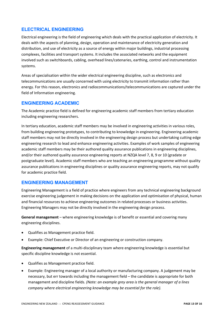# **ELECTRICAL ENGINEERING**

Electrical engineering is the field of engineering which deals with the practical application of electricity. It deals with the aspects of planning, design, operation and maintenance of electricity generation and distribution, and use of electricity as a source of energy within major buildings, industrial processing complexes, facilities and transport systems. It includes the associated networks and the equipment involved such as switchboards, cabling, overhead lines/catenaries, earthing, control and instrumentation systems.

Areas of specialisation within the wider electrical engineering discipline, such as electronics and telecommunications are usually concerned with using electricity to transmit information rather than energy. For this reason, electronics and radiocommunications/telecommunications are captured under the field of Information engineering.

#### **ENGINEERING ACADEMIC**

The Academic practice field is defined for engineering academic staff members from tertiary education including engineering researchers.

In tertiary education, academic staff members may be involved in engineering activities in various roles, from building engineering prototypes, to contributing to knowledge in engineering. Engineering academic staff members may not be directly involved in the engineering design process but undertaking cutting edge engineering research to lead and enhance engineering activities. Examples of work samples of engineering academic staff members may be their authored quality assurance publications in engineering disciplines, and/or their authored quality assurance engineering reports at NZQA level 7, 8, 9 or 10 (gradate or postgraduate level). Academic staff members who are teaching an engineering programme without quality assurance publications in engineering disciplines or quality assurance engineering reports, may not qualify for academic practice field.

# **ENGINEERING MANAGEMENT**

Engineering Management is a field of practice where engineers from any technical engineering background exercise engineering judgement in making decisions on the application and optimisation of physical, human and financial resources to achieve engineering outcomes in related processes or business activities. Engineering Managers may not be directly involved in the engineering design process.

**General management** – where engineering knowledge is of benefit or essential and covering many engineering disciplines.

- Qualifies as Management practice field.
- Example: Chief Executive or Director of an engineering or construction company.

**Engineering management** of a multi-disciplinary team where engineering knowledge is essential but specific discipline knowledge is not essential.

- Qualifies as Management practice field.
- Example: Engineering manager of a local authority or manufacturing company. A judgement may be necessary, but err towards including the management field – the candidate is appropriate for both management and discipline fields. *(Note: an example grey area is the general manager of a lines company where electrical engineering knowledge may be essential for the role).*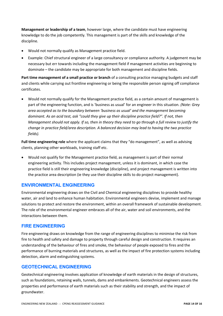**Management or leadership of a team**, however large, where the candidate must have engineering knowledge to do the job competently. This management is part of the skills and knowledge of the discipline.

- Would not normally qualify as Management practice field.
- Example: Chief structural engineer of a large consultancy or compliance authority. A judgement may be necessary but err towards including the management field if management activities are beginning to dominate – the candidate may be appropriate for both management and discipline fields.

**Part time management of a small practice or branch** of a consulting practice managing budgets and staff and clients while carrying out frontline engineering or being the responsible person signing off compliance certificates.

• Would not normally qualify for the Management practice field, as a certain amount of management is part of the engineering function, and is 'business as usual' for an engineer in this situation. *(Note: Grey area accepted as to the boundary between 'business as usual' and the management becoming dominant. As an acid test, ask "could they give up their discipline practice field?". If not, then Management should not apply. If so, then in theory they need to go through a full review to justify the change in practice field/area description. A balanced decision may lead to having the two practice fields).*

**Full time engineering role** where the applicant claims that they "do management", as well as advising clients, planning other workloads, training staff etc.

• Would not qualify for the Management practice field, as management is part of their normal engineering activity. This includes project management, unless it is dominant, in which case the practice field is still their engineering knowledge (discipline), and project management is written into the practice area description (ie they use their discipline skills to do project management).

# **ENVIRONMENTAL ENGINEERING**

Environmental engineering draws on the Civil and Chemical engineering disciplines to provide healthy water, air and land to enhance human habitation. Environmental engineers devise, implement and manage solutions to protect and restore the environment, within an overall framework of sustainable development. The role of the environmental engineer embraces all of the air, water and soil environments, and the interactions between them.

# **FIRE ENGINEERING**

Fire engineering draws on knowledge from the range of engineering disciplines to minimise the risk from fire to health and safety and damage to property through careful design and construction. It requires an understanding of the behaviour of fires and smoke, the behaviour of people exposed to fires and the performance of burning materials and structures, as well as the impact of fire protection systems including detection, alarm and extinguishing systems.

# **GEOTECHNICAL ENGINEERING**

Geotechnical engineering involves application of knowledge of earth materials in the design of structures, such as foundations, retaining walls, tunnels, dams and embankments. Geotechnical engineers assess the properties and performance of earth materials such as their stability and strength, and the impact of groundwater.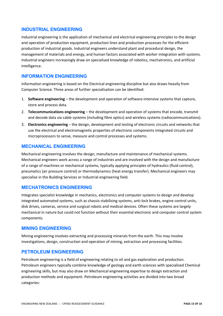# **INDUSTRIAL ENGINEERING**

Industrial engineering is the application of mechanical and electrical engineering principles to the design and operation of production equipment, production lines and production processes for the efficient production of industrial goods. Industrial engineers understand plant and procedural design, the management of materials and energy, and human factors associated with worker integration with systems. Industrial engineers increasingly draw on specialised knowledge of robotics, mechatronics, and artificial intelligence.

# **INFORMATION ENGINEERING**

Information engineering is based on the Electrical engineering discipline but also draws heavily from Computer Science. Three areas of further specialisation can be identified:

- 1. **Software engineering** the development and operation of software-intensive systems that capture, store and process data.
- 2. **Telecommunications engineering** the development and operation of systems that encode, transmit and decode data via cable systems (including fibre optics) and wireless systems (radiocommunications).
- 3. **Electronics engineering** the design, development and testing of electronic circuits and networks that use the electrical and electromagnetic properties of electronic components integrated circuits and microprocessors to sense, measure and control processes and systems.

# **MECHANICAL ENGINEERING**

Mechanical engineering involves the design, manufacture and maintenance of mechanical systems. Mechanical engineers work across a range of industries and are involved with the design and manufacture of a range of machines or mechanical systems, typically applying principles of hydraulics (fluid control), pneumatics (air pressure control) or thermodynamics (heat energy transfer). Mechanical engineers may specialise in the Building Services or Industrial engineering field.

# **MECHATRONICS ENGINEERING**

Integrates specialist knowledge in mechanics, electronics and computer systems to design and develop integrated automated systems, such as chassis-stabilising systems, anti-lock brakes, engine control units, disk drives, cameras, service and surgical robots and medical devices. Often these systems are largely mechanical in nature but could not function without their essential electronic and computer control system components.

# **MINING ENGINEERING**

Mining engineering involves extracting and processing minerals from the earth. This may involve investigations, design, construction and operation of mining, extraction and processing facilities.

# **PETROLEUM ENGINEERING**

Petroleum engineering is a field of engineering relating to oil and gas exploration and production. Petroleum engineers typically combine knowledge of geology and earth sciences with specialised Chemical engineering skills, but may also draw on Mechanical engineering expertise to design extraction and production methods and equipment. Petroleum engineering activities are divided into two broad categories: